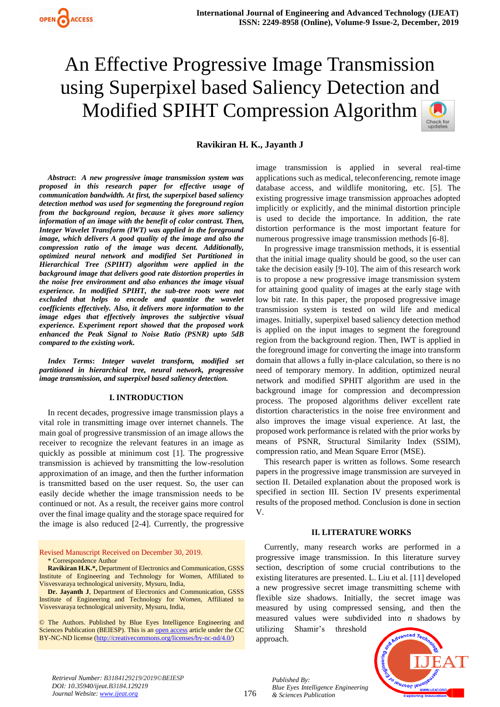**Ravikiran H. K., Jayanth J**

*Abstract***:** *A new progressive image transmission system was proposed in this research paper for effective usage of communication bandwidth. At first, the superpixel based saliency detection method was used for segmenting the foreground region from the background region, because it gives more saliency information of an image with the benefit of color contrast. Then, Integer Wavelet Transform (IWT) was applied in the foreground image, which delivers A good quality of the image and also the compression ratio of the image was decent. Additionally, optimized neural network and modified Set Partitioned in Hierarchical Tree (SPIHT) algorithm were applied in the background image that delivers good rate distortion properties in the noise free environment and also enhances the image visual experience. In modified SPIHT, the sub-tree roots were not excluded that helps to encode and quantize the wavelet coefficients effectively. Also, it delivers more information to the image edges that effectively improves the subjective visual experience. Experiment report showed that the proposed work enhanced the Peak Signal to Noise Ratio (PSNR) upto 5dB compared to the existing work.*

*Index Terms***:** *Integer wavelet transform, modified set partitioned in hierarchical tree, neural network, progressive image transmission, and superpixel based saliency detection.*

#### **I. INTRODUCTION**

In recent decades, progressive image transmission plays a vital role in transmitting image over internet channels. The main goal of progressive transmission of an image allows the receiver to recognize the relevant features in an image as quickly as possible at minimum cost [1]. The progressive transmission is achieved by transmitting the low-resolution approximation of an image, and then the further information is transmitted based on the user request. So, the user can easily decide whether the image transmission needs to be continued or not. As a result, the receiver gains more control over the final image quality and the storage space required for the image is also reduced [2-4]. Currently, the progressive

Revised Manuscript Received on December 30, 2019. \* Correspondence Author

**Ravikiran H.K.\*,** Department of Electronics and Communication, GSSS Institute of Engineering and Technology for Women, Affiliated to Visvesvaraya technological university, Mysuru, India,

**Dr. Jayanth J**, Department of Electronics and Communication, GSSS Institute of Engineering and Technology for Women, Affiliated to Visvesvaraya technological university, Mysuru, India,

© The Authors. Published by Blue Eyes Intelligence Engineering and Sciences Publication (BEIESP). This is a[n open access](https://www.openaccess.nl/en/open-publications) article under the CC BY-NC-ND license [\(http://creativecommons.org/licenses/by-nc-nd/4.0/\)](http://creativecommons.org/licenses/by-nc-nd/4.0/)

image transmission is applied in several real-time applications such as medical, teleconferencing, remote image database access, and wildlife monitoring, etc. [5]. The existing progressive image transmission approaches adopted implicitly or explicitly, and the minimal distortion principle is used to decide the importance. In addition, the rate distortion performance is the most important feature for numerous progressive image transmission methods [6-8].

In progressive image transmission methods, it is essential that the initial image quality should be good, so the user can take the decision easily [9-10]. The aim of this research work is to propose a new progressive image transmission system for attaining good quality of images at the early stage with low bit rate. In this paper, the proposed progressive image transmission system is tested on wild life and medical images. Initially, superpixel based saliency detection method is applied on the input images to segment the foreground region from the background region. Then, IWT is applied in the foreground image for converting the image into transform domain that allows a fully in-place calculation, so there is no need of temporary memory. In addition, optimized neural network and modified SPHIT algorithm are used in the background image for compression and decompression process. The proposed algorithms deliver excellent rate distortion characteristics in the noise free environment and also improves the image visual experience. At last, the proposed work performance is related with the prior works by means of PSNR, Structural Similarity Index (SSIM), compression ratio, and Mean Square Error (MSE).

This research paper is written as follows. Some research papers in the progressive image transmission are surveyed in section II. Detailed explanation about the proposed work is specified in section III. Section IV presents experimental results of the proposed method. Conclusion is done in section V.

#### **II. LITERATURE WORKS**

Currently, many research works are performed in a progressive image transmission. In this literature survey section, description of some crucial contributions to the existing literatures are presented. L. Liu et al. [11] developed a new progressive secret image transmitting scheme with flexible size shadows. Initially, the secret image was measured by using compressed sensing, and then the measured values were subdivided into *n* shadows by

utilizing Shamir's threshold approach.

*Blue Eyes Intelligence Engineering* 

*Published By:*

*& Sciences Publication* 



*Retrieval Number: B3184129219/2019©BEIESP DOI: 10.35940/ijeat.B3184.129219 Journal Website: [www.ijeat.org](http://www.ijeat.org/)*

176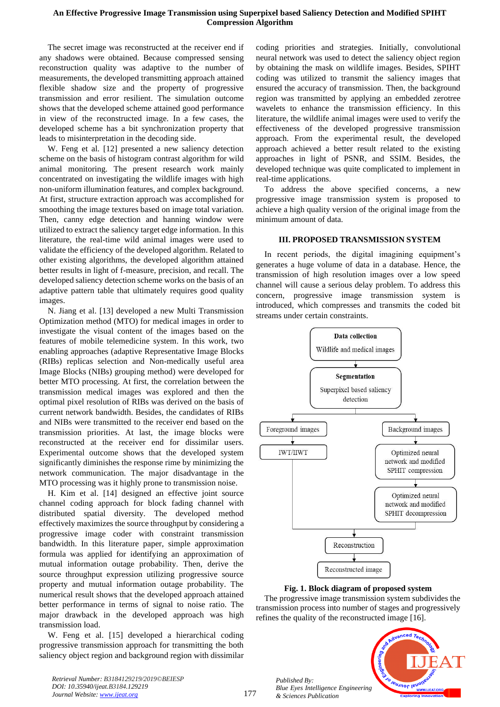The secret image was reconstructed at the receiver end if any shadows were obtained. Because compressed sensing reconstruction quality was adaptive to the number of measurements, the developed transmitting approach attained flexible shadow size and the property of progressive transmission and error resilient. The simulation outcome shows that the developed scheme attained good performance in view of the reconstructed image. In a few cases, the developed scheme has a bit synchronization property that leads to misinterpretation in the decoding side.

W. Feng et al. [12] presented a new saliency detection scheme on the basis of histogram contrast algorithm for wild animal monitoring. The present research work mainly concentrated on investigating the wildlife images with high non-uniform illumination features, and complex background. At first, structure extraction approach was accomplished for smoothing the image textures based on image total variation. Then, canny edge detection and hanning window were utilized to extract the saliency target edge information. In this literature, the real-time wild animal images were used to validate the efficiency of the developed algorithm. Related to other existing algorithms, the developed algorithm attained better results in light of f-measure, precision, and recall. The developed saliency detection scheme works on the basis of an adaptive pattern table that ultimately requires good quality images.

N. Jiang et al. [13] developed a new Multi Transmission Optimization method (MTO) for medical images in order to investigate the visual content of the images based on the features of mobile telemedicine system. In this work, two enabling approaches (adaptive Representative Image Blocks (RIBs) replicas selection and Non-medically useful area Image Blocks (NIBs) grouping method) were developed for better MTO processing. At first, the correlation between the transmission medical images was explored and then the optimal pixel resolution of RIBs was derived on the basis of current network bandwidth. Besides, the candidates of RIBs and NIBs were transmitted to the receiver end based on the transmission priorities. At last, the image blocks were reconstructed at the receiver end for dissimilar users. Experimental outcome shows that the developed system significantly diminishes the response rime by minimizing the network communication. The major disadvantage in the MTO processing was it highly prone to transmission noise.

H. Kim et al. [14] designed an effective joint source channel coding approach for block fading channel with distributed spatial diversity. The developed method effectively maximizes the source throughput by considering a progressive image coder with constraint transmission bandwidth. In this literature paper, simple approximation formula was applied for identifying an approximation of mutual information outage probability. Then, derive the source throughput expression utilizing progressive source property and mutual information outage probability. The numerical result shows that the developed approach attained better performance in terms of signal to noise ratio. The major drawback in the developed approach was high transmission load.

W. Feng et al. [15] developed a hierarchical coding progressive transmission approach for transmitting the both saliency object region and background region with dissimilar coding priorities and strategies. Initially, convolutional neural network was used to detect the saliency object region by obtaining the mask on wildlife images. Besides, SPIHT coding was utilized to transmit the saliency images that ensured the accuracy of transmission. Then, the background region was transmitted by applying an embedded zerotree wavelets to enhance the transmission efficiency. In this literature, the wildlife animal images were used to verify the effectiveness of the developed progressive transmission approach. From the experimental result, the developed approach achieved a better result related to the existing approaches in light of PSNR, and SSIM. Besides, the developed technique was quite complicated to implement in real-time applications.

To address the above specified concerns, a new progressive image transmission system is proposed to achieve a high quality version of the original image from the minimum amount of data.

# **III. PROPOSED TRANSMISSION SYSTEM**

In recent periods, the digital imagining equipment's generates a huge volume of data in a database. Hence, the transmission of high resolution images over a low speed channel will cause a serious delay problem. To address this concern, progressive image transmission system is introduced, which compresses and transmits the coded bit streams under certain constraints.



**Fig. 1. Block diagram of proposed system**

The progressive image transmission system subdivides the transmission process into number of stages and progressively refines the quality of the reconstructed image [16].



*Retrieval Number: B3184129219/2019©BEIESP DOI: 10.35940/ijeat.B3184.129219 Journal Website: [www.ijeat.org](http://www.ijeat.org/)*

*Published By:*

*& Sciences Publication*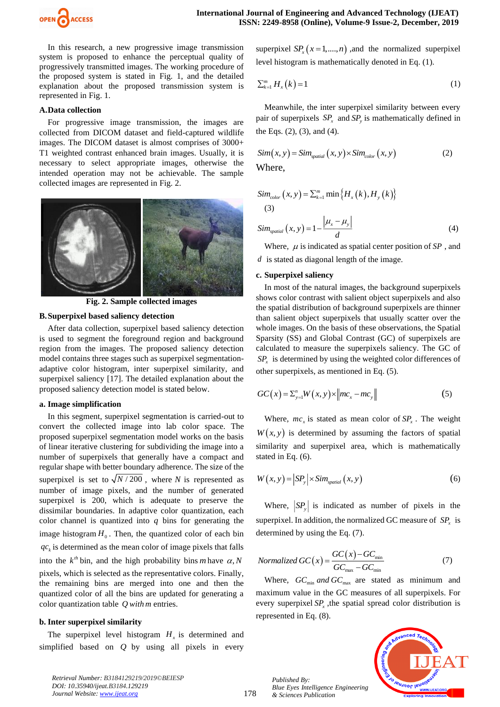

In this research, a new progressive image transmission system is proposed to enhance the perceptual quality of progressively transmitted images. The working procedure of the proposed system is stated in Fig. 1, and the detailed explanation about the proposed transmission system is represented in Fig. 1.

#### **A.Data collection**

For progressive image transmission, the images are collected from DICOM dataset and field-captured wildlife images. The DICOM dataset is almost comprises of 3000+ T1 weighted contrast enhanced brain images. Usually, it is necessary to select appropriate images, otherwise the intended operation may not be achievable. The sample collected images are represented in Fig. 2.



**Fig. 2. Sample collected images**

## **B.Superpixel based saliency detection**

After data collection, superpixel based saliency detection is used to segment the foreground region and background region from the images. The proposed saliency detection model contains three stages such as superpixel segmentationadaptive color histogram, inter superpixel similarity, and superpixel saliency [17]. The detailed explanation about the proposed saliency detection model is stated below.

#### **a. Image simplification**

In this segment, superpixel segmentation is carried-out to convert the collected image into lab color space. The proposed superpixel segmentation model works on the basis of linear iterative clustering for subdividing the image into a number of superpixels that generally have a compact and regular shape with better boundary adherence. The size of the superpixel is set to  $\sqrt{N/200}$ , where N is represented as number of image pixels, and the number of generated superpixel is 200, which is adequate to preserve the dissimilar boundaries. In adaptive color quantization, each color channel is quantized into  $q$  bins for generating the image histogram  $H_0$ . Then, the quantized color of each bin  $qc_k$  is determined as the mean color of image pixels that falls into the  $k^{th}$  bin, and the high probability bins *m* have  $\alpha$ , *N* pixels, which is selected as the representative colors. Finally, the remaining bins are merged into one and then the quantized color of all the bins are updated for generating a color quantization table *Q with <sup>m</sup>* entries.

#### **b. Inter superpixel similarity**

The superpixel level histogram  $H<sub>x</sub>$  is determined and simplified based on *Q* by using all pixels in every

superpixel  $SP_x(x=1,...,n)$ , and the normalized superpixel level histogram is mathematically denoted in Eq. (1).

$$
\sum_{k=1}^{m} H_{x}(k) = 1 \tag{1}
$$

Meanwhile, the inter superpixel similarity between every pair of superpixels  $SP_x$  and  $SP_y$  is mathematically defined in the Eqs. (2), (3), and (4).

$$
Sim(x, y) = Sim_{spatial}(x, y) \times Sim_{color}(x, y)
$$
\nWhere,

\n(2)

$$
Sim_{color}(x, y) = \sum_{k=1}^{m} \min \{ H_x(k), H_y(k) \}
$$
  
(3)  

$$
Sim_{spatial}(x, y) = 1 - \frac{|\mu_x - \mu_y|}{d}
$$
 (4)

Where,  $\mu$  is indicated as spatial center position of SP, and *d* is stated as diagonal length of the image.

#### **c. Superpixel saliency**

In most of the natural images, the background superpixels shows color contrast with salient object superpixels and also the spatial distribution of background superpixels are thinner than salient object superpixels that usually scatter over the whole images. On the basis of these observations, the Spatial Sparsity (SS) and Global Contrast (GC) of superpixels are calculated to measure the superpixels saliency. The GC of  $SP<sub>x</sub>$  is determined by using the weighted color differences of other superpixels, as mentioned in Eq. (5).

$$
GC(x) = \sum_{y=1}^{n} W(x, y) \times ||mc_x - mc_y||
$$
 (5)

Where,  $mc_x$  is stated as mean color of  $SP_x$ . The weight  $W(x, y)$  is determined by assuming the factors of spatial similarity and superpixel area, which is mathematically stated in Eq. (6).

$$
W(x, y) = |SP_y| \times Sim_{spatial}(x, y)
$$
 (6)

Where,  $|SP_{y}|$  is indicated as number of pixels in the superpixel. In addition, the normalized GC measure of  $SP<sub>x</sub>$  is determined by using the Eq. (7).

$$
Normalized \, GC(x) = \frac{GC(x) - GC_{\min}}{GC_{\max} - GC_{\min}}\tag{7}
$$

Where,  $GC_{min}$  and  $GC_{max}$  are stated as minimum and maximum value in the GC measures of all superpixels. For every superpixel  $SP<sub>x</sub>$ , the spatial spread color distribution is represented in Eq. (8).



*Retrieval Number: B3184129219/2019©BEIESP DOI: 10.35940/ijeat.B3184.129219 Journal Website: [www.ijeat.org](http://www.ijeat.org/)*

178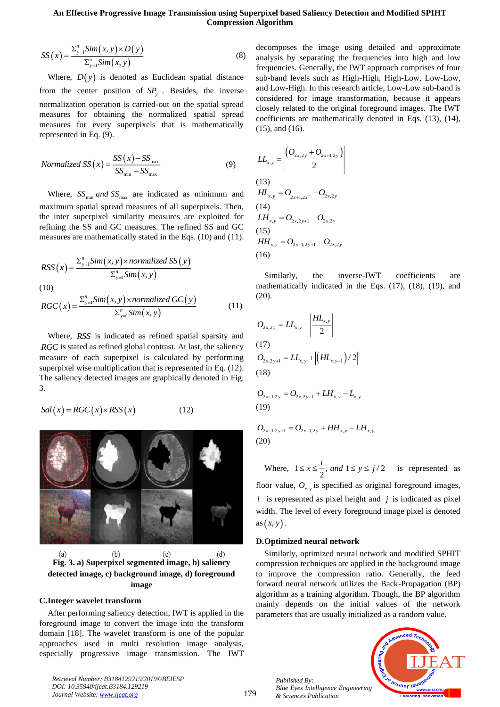$$
SS(x) = \frac{\sum_{y=1}^{n} Sim(x, y) \times D(y)}{\sum_{y=1}^{n} Sim(x, y)}
$$
(8)

Where,  $D(y)$  is denoted as Euclidean spatial distance from the center position of  $SP<sub>y</sub>$ . Besides, the inverse normalization operation is carried-out on the spatial spread measures for obtaining the normalized spatial spread measures for every superpixels that is mathematically represented in Eq. (9).

$$
Normalized SS(x) = \frac{SS(x) - SS_{\text{max}}}{SS_{\text{min}} - SS_{\text{max}}}
$$
\n(9)

Where,  $SS_{\text{min}}$  and  $SS_{\text{max}}$  are indicated as minimum and maximum spatial spread measures of all superpixels. Then, the inter superpixel similarity measures are exploited for refining the SS and GC measures. The refined SS and GC measures are mathematically stated in the Eqs. (10) and (11).

$$
RSS(x) = \frac{\sum_{y=1}^{n} Sim(x, y) \times normalizedSS(y)}{\sum_{y=1}^{n} Sim(x, y)}
$$
\n(10)

(10)  
\n
$$
RGC(x) = \frac{\sum_{y=1}^{n} Sim(x, y) \times normalized \, GC(y)}{\sum_{y=1}^{n} Sim(x, y)}
$$
\n(11)

Where, *RSS* is indicated as refined spatial sparsity and *RGC* is stated as refined global contrast. At last, the saliency measure of each superpixel is calculated by performing superpixel wise multiplication that is represented in Eq. (12). The saliency detected images are graphically denoted in Fig. 3.

$$
Sal(x) = RGC(x) \times RSS(x) \tag{12}
$$



 $(a)$  $(b)$  $(c)$  $(d)$ **Fig. 3. a) Superpixel segmented image, b) saliency detected image, c) background image, d) foreground image**

## **C.Integer wavelet transform**

After performing saliency detection, IWT is applied in the foreground image to convert the image into the transform domain [18]. The wavelet transform is one of the popular approaches used in multi resolution image analysis, especially progressive image transmission. The IWT

*Retrieval Number: B3184129219/2019©BEIESP DOI: 10.35940/ijeat.B3184.129219 Journal Website: [www.ijeat.org](http://www.ijeat.org/)*

decomposes the image using detailed and approximate analysis by separating the frequencies into high and low frequencies. Generally, the IWT approach comprises of four sub-band levels such as High-High, High-Low, Low-Low, and Low-High. In this research article, Low-Low sub-band is considered for image transformation, because it appears closely related to the original foreground images. The IWT coefficients are mathematically denoted in Eqs. (13), (14), (15), and (16).

$$
LL_{x,y} = \frac{\left| \left( O_{2x,2y} + O_{2x+1,2y} \right) \right|}{2}
$$
\n(13)  
\n
$$
HL_{x,y} = O_{2x+1,2x} - O_{2x,2y}
$$
\n(14)  
\n
$$
LH_{x,y} = O_{2x,2y+1} - O_{2x,2y}
$$
\n(15)  
\n
$$
HH_{x,y} = O_{2x+1,2y+1} - O_{2x,2y}
$$
\n(16)

Similarly, the inverse-IWT coefficients are mathematically indicated in the Eqs. (17), (18), (19), and (20).

$$
O_{2x,2y} = LL_{x,y} - \left| \frac{HL_{x,y}}{2} \right|
$$
  
(17)  

$$
O_{2x,2y+1} = LL_{x,y} + \left| \left(HL_{x,y+1}\right)/2 \right|
$$
  
(18)

$$
O_{2x+1,2y} = O_{2x,2y+1} + LH_{x,y} - L_{x,y}
$$
\n(19)

$$
O_{2x+1,2y+1} = O_{2x+1,2y} + HH_{x,y} - LH_{x,y}
$$
\n(20)

Where,  $1 \le x \le \frac{1}{2}$ , and  $1 \le y \le j/2$  $\leq x \leq \frac{i}{e}$ , and  $1 \leq y \leq j/2$  is represented as floor value,  $O_{x,y}$  is specified as original foreground images,  $i$  is represented as pixel height and  $j$  is indicated as pixel

width. The level of every foreground image pixel is denoted as  $(x, y)$  .

#### **D.Optimized neural network**

Similarly, optimized neural network and modified SPHIT compression techniques are applied in the background image to improve the compression ratio. Generally, the feed forward neural network utilizes the Back-Propagation (BP) algorithm as a training algorithm. Though, the BP algorithm mainly depends on the initial values of the network parameters that are usually initialized as a random value.

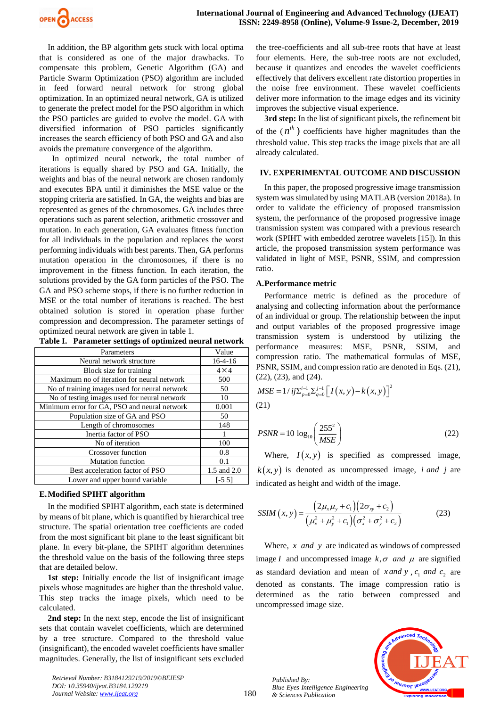

In addition, the BP algorithm gets stuck with local optima that is considered as one of the major drawbacks. To compensate this problem, Genetic Algorithm (GA) and Particle Swarm Optimization (PSO) algorithm are included in feed forward neural network for strong global optimization. In an optimized neural network, GA is utilized to generate the prefect model for the PSO algorithm in which the PSO particles are guided to evolve the model. GA with diversified information of PSO particles significantly increases the search efficiency of both PSO and GA and also avoids the premature convergence of the algorithm.

 In optimized neural network, the total number of iterations is equally shared by PSO and GA. Initially, the weights and bias of the neural network are chosen randomly and executes BPA until it diminishes the MSE value or the stopping criteria are satisfied. In GA, the weights and bias are represented as genes of the chromosomes. GA includes three operations such as parent selection, arithmetic crossover and mutation. In each generation, GA evaluates fitness function for all individuals in the population and replaces the worst performing individuals with best parents. Then, GA performs mutation operation in the chromosomes, if there is no improvement in the fitness function. In each iteration, the solutions provided by the GA form particles of the PSO. The GA and PSO scheme stops, if there is no further reduction in MSE or the total number of iterations is reached. The best obtained solution is stored in operation phase further compression and decompression. The parameter settings of optimized neural network are given in table 1.

| Table I. Parameter settings of optimized neural network |  |
|---------------------------------------------------------|--|
|---------------------------------------------------------|--|

| Parameters                                    | Value        |
|-----------------------------------------------|--------------|
| Neural network structure                      | $16-4-16$    |
| Block size for training                       | $4 \times 4$ |
| Maximum no of iteration for neural network    | 500          |
| No of training images used for neural network | 50           |
| No of testing images used for neural network  | 10           |
| Minimum error for GA, PSO and neural network  | 0.001        |
| Population size of GA and PSO                 | 50           |
| Length of chromosomes                         | 148          |
| Inertia factor of PSO                         | 1            |
| No of iteration                               | 100          |
| <b>Crossover function</b>                     | 0.8          |
| <b>Mutation function</b>                      | 0.1          |
| Best acceleration factor of PSO               | 1.5 and 2.0  |
| Lower and upper bound variable                | $[-55]$      |

#### **E.Modified SPIHT algorithm**

In the modified SPIHT algorithm, each state is determined by means of bit plane, which is quantified by hierarchical tree structure. The spatial orientation tree coefficients are coded from the most significant bit plane to the least significant bit plane. In every bit-plane, the SPIHT algorithm determines the threshold value on the basis of the following three steps that are detailed below.

**1st step:** Initially encode the list of insignificant image pixels whose magnitudes are higher than the threshold value. This step tracks the image pixels, which need to be calculated.

**2nd step:** In the next step, encode the list of insignificant sets that contain wavelet coefficients, which are determined by a tree structure. Compared to the threshold value (insignificant), the encoded wavelet coefficients have smaller magnitudes. Generally, the list of insignificant sets excluded

*Retrieval Number: B3184129219/2019©BEIESP DOI: 10.35940/ijeat.B3184.129219 Journal Website: [www.ijeat.org](http://www.ijeat.org/)*

the tree-coefficients and all sub-tree roots that have at least four elements. Here, the sub-tree roots are not excluded, because it quantizes and encodes the wavelet coefficients effectively that delivers excellent rate distortion properties in the noise free environment. These wavelet coefficients deliver more information to the image edges and its vicinity improves the subjective visual experience.

**3rd step:** In the list of significant pixels, the refinement bit of the  $(n^{th})$  coefficients have higher magnitudes than the threshold value. This step tracks the image pixels that are all already calculated.

#### **IV. EXPERIMENTAL OUTCOME AND DISCUSSION**

In this paper, the proposed progressive image transmission system was simulated by using MATLAB (version 2018a). In order to validate the efficiency of proposed transmission system, the performance of the proposed progressive image transmission system was compared with a previous research work (SPIHT with embedded zerotree wavelets [15]). In this article, the proposed transmission system performance was validated in light of MSE, PSNR, SSIM, and compression ratio.

## **A.Performance metric**

Performance metric is defined as the procedure of analysing and collecting information about the performance of an individual or group. The relationship between the input and output variables of the proposed progressive image transmission system is understood by utilizing the performance measures: MSE, PSNR, SSIM, and compression ratio. The mathematical formulas of MSE, PSNR, SSIM, and compression ratio are denoted in Eqs. (21), (22), (23), and (24).

$$
MSE = 1 / i j \sum_{p=0}^{i-1} \sum_{q=0}^{j-1} \left[ I(x, y) - k(x, y) \right]^2
$$
  
(21)

$$
PSNR = 10 \log_{10} \left( \frac{255^2}{MSE} \right) \tag{22}
$$

Where,  $I(x, y)$  is specified as compressed image,  $k(x, y)$  is denoted as uncompressed image, *i and j* are indicated as height and width of the image.

$$
SSIM(x, y) = \frac{(2\mu_x \mu_y + c_1)(2\sigma_{xy} + c_2)}{(\mu_x^2 + \mu_y^2 + c_1)(\sigma_x^2 + \sigma_y^2 + c_2)}
$$
(23)

Where,  $x$  *and*  $y$  are indicated as windows of compressed image *I* and uncompressed image  $k, \sigma$  and  $\mu$  are signified as standard deviation and mean of *x* and *y*,  $c_1$  and  $c_2$  are denoted as constants. The image compression ratio is determined as the ratio between compressed and uncompressed image size.

*Published By: Blue Eyes Intelligence Engineering & Sciences Publication* 

180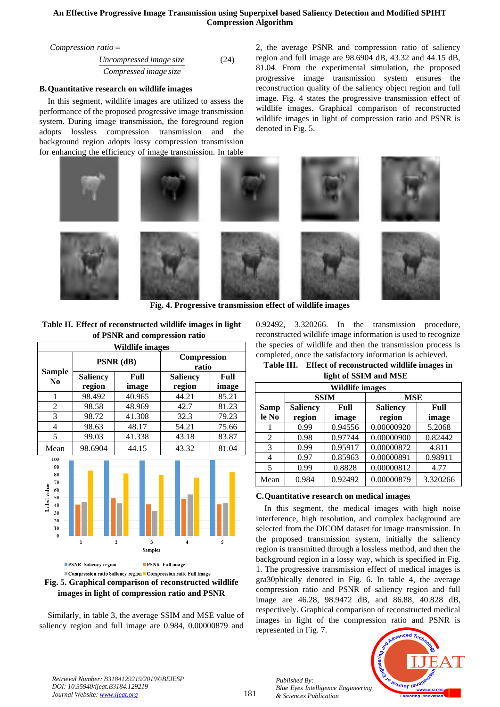*Compression ratio* =

*Uncompressed image size Compressed image size* (24)

## **B.Quantitative research on wildlife images**

In this segment, wildlife images are utilized to assess the performance of the proposed progressive image transmission system. During image transmission, the foreground region adopts lossless compression transmission and the background region adopts lossy compression transmission for enhancing the efficiency of image transmission. In table 2, the average PSNR and compression ratio of saliency region and full image are 98.6904 dB, 43.32 and 44.15 dB, 81.04. From the experimental simulation, the proposed progressive image transmission system ensures the reconstruction quality of the saliency object region and full image. Fig. 4 states the progressive transmission effect of wildlife images. Graphical comparison of reconstructed wildlife images in light of compression ratio and PSNR is denoted in Fig. 5.



**Fig. 4. Progressive transmission effect of wildlife images**

**Table II. Effect of reconstructed wildlife images in light of PSNR and compression ratio**

| Wildlife images                                                                      |                                                        |                     |                                                                |       |  |
|--------------------------------------------------------------------------------------|--------------------------------------------------------|---------------------|----------------------------------------------------------------|-------|--|
|                                                                                      | PSNR (dB)                                              |                     | Compression<br>ratio                                           |       |  |
| <b>Sample</b><br>N <sub>0</sub>                                                      | <b>Saliency</b>                                        | Full                | Saliency                                                       | Full  |  |
|                                                                                      | region                                                 | image               | region                                                         | image |  |
| 1                                                                                    | 98.492                                                 | 40.965              | 44.21                                                          | 85.21 |  |
| $\overline{c}$                                                                       | 98.58                                                  | 48.969              | 42.7                                                           | 81.23 |  |
| $\overline{3}$                                                                       | 98.72                                                  | 41.308              | 32.3                                                           | 79.23 |  |
| 4                                                                                    | 98.63                                                  | 48.17               | 54.21                                                          | 75.66 |  |
| 5                                                                                    | 99.03                                                  | 41.338              | 43.18                                                          | 83.87 |  |
| Mean                                                                                 | 98.6904                                                | 44.15               | 43.32                                                          | 81.04 |  |
| 100<br>90<br>80<br>70<br>Label value<br>60<br>50<br>40<br>30<br>20<br>10<br>$\bf{0}$ | ı                                                      | 3<br>$\overline{2}$ | 4                                                              | 5     |  |
|                                                                                      | <b>PSNR</b> Saliency region                            | <b>Samples</b>      | <b>PSNR</b> Full image                                         |       |  |
|                                                                                      |                                                        |                     | Compression ratio Saliency region Compression ratio Full image |       |  |
|                                                                                      | Fig. 5. Graphical comparison of reconstructed wildlife |                     |                                                                |       |  |

**images in light of compression ratio and PSNR**

Similarly, in table 3, the average SSIM and MSE value of saliency region and full image are 0.984, 0.00000879 and 0.92492, 3.320266. In the transmission procedure, reconstructed wildlife image information is used to recognize the species of wildlife and then the transmission process is completed, once the satisfactory information is achieved.

**Table III. Effect of reconstructed wildlife images in** 

| light of SSIM and MSE |
|-----------------------|
|-----------------------|

|                      | <b>Wildlife images</b>                     |             |            |          |                           |               |
|----------------------|--------------------------------------------|-------------|------------|----------|---------------------------|---------------|
|                      |                                            | <b>SSIM</b> | <b>MSE</b> |          |                           |               |
| <b>Samp</b><br>le No | <b>Saliency</b><br>Full<br>region<br>image |             |            |          | <b>Saliency</b><br>region | Full<br>image |
|                      | 0.99                                       | 0.94556     | 0.00000920 | 5.2068   |                           |               |
| 2                    | 0.98                                       | 0.97744     | 0.00000900 | 0.82442  |                           |               |
| 3                    | 0.99                                       | 0.95917     | 0.00000872 | 4.811    |                           |               |
|                      | 0.97                                       | 0.85963     | 0.00000891 | 0.98911  |                           |               |
| 5                    | 0.99                                       | 0.8828      | 0.00000812 | 4.77     |                           |               |
| Mean                 | 0.984                                      | 0.92492     | 0.00000879 | 3.320266 |                           |               |

# **C.Quantitative research on medical images**

In this segment, the medical images with high noise interference, high resolution, and complex background are selected from the DICOM dataset for image transmission. In the proposed transmission system, initially the saliency region is transmitted through a lossless method, and then the background region in a lossy way, which is specified in Fig. 1. The progressive transmission effect of medical images is gra30phically denoted in Fig. 6. In table 4, the average compression ratio and PSNR of saliency region and full image are 46.28, 98.9472 dB, and 86.88, 40.828 dB, respectively. Graphical comparison of reconstructed medical images in light of the compression ratio and PSNR is represented in Fig. 7.



*Retrieval Number: B3184129219/2019©BEIESP DOI: 10.35940/ijeat.B3184.129219 Journal Website: [www.ijeat.org](http://www.ijeat.org/)*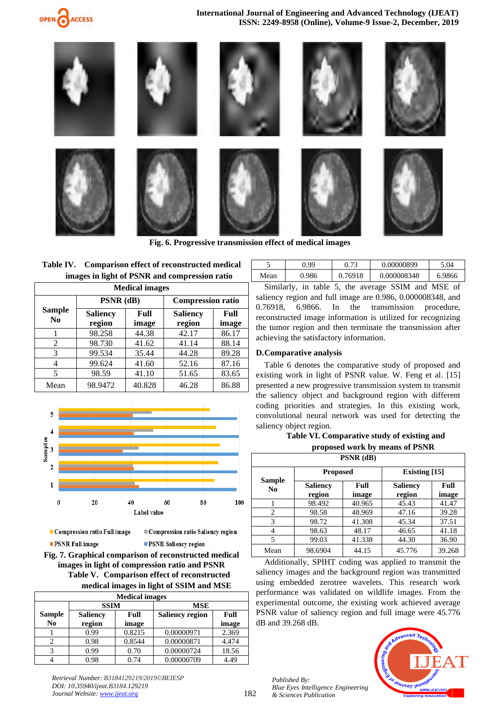

**International Journal of Engineering and Advanced Technology (IJEAT) ISSN: 2249-8958 (Online), Volume-9 Issue-2, December, 2019**



**Fig. 6. Progressive transmission effect of medical images**

|  | Table IV. Comparison effect of reconstructed medical |
|--|------------------------------------------------------|
|  | images in light of PSNR and compression ratio        |

| <b>Medical images</b> |                                                     |        |                           |               |  |
|-----------------------|-----------------------------------------------------|--------|---------------------------|---------------|--|
|                       | PSNR (dB)                                           |        | <b>Compression ratio</b>  |               |  |
| N <sub>0</sub>        | <b>Sample</b><br><b>Saliency</b><br>region<br>image |        | <b>Saliency</b><br>region | Full<br>image |  |
|                       | 98.258                                              | 44.38  | 42.17                     | 86.17         |  |
| 2                     | 98.730                                              | 41.62  | 41.14                     | 88.14         |  |
| 3                     | 99.534                                              | 35.44  | 44.28                     | 89.28         |  |
| 4                     | 99.624                                              | 41.60  | 52.16                     | 87.16         |  |
| 5                     | 98.59                                               | 41.10  | 51.65                     | 83.65         |  |
| Mean                  | 98.9472                                             | 40.828 | 46.28                     | 86.88         |  |



Compression ratio Full image **PSNR Full image** 

Compression ratio Saliency region **PSNR Saliency region** 

**Fig. 7. Graphical comparison of reconstructed medical images in light of compression ratio and PSNR Table V. Comparison effect of reconstructed medical images in light of SSIM and MSE**

| <b>Medical images</b> |                         |        |                        |       |  |
|-----------------------|-------------------------|--------|------------------------|-------|--|
|                       | <b>SSIM</b>             |        | <b>MSE</b>             |       |  |
| <b>Sample</b>         | Full<br><b>Saliency</b> |        | <b>Saliency region</b> | Full  |  |
| N <sub>0</sub>        | region                  | image  |                        | image |  |
|                       | 0.99                    | 0.8215 | 0.00000971             | 2.369 |  |
|                       | 0.98                    | 0.8544 | 0.00000871             | 4.474 |  |
|                       | 0.99                    | 0.70   | 0.00000724             | 18.56 |  |
|                       | 0.98                    | 0.74   | 0.00000709             | 4.49  |  |

|      | 99    |         | 0.00000899  | 5.04   |
|------|-------|---------|-------------|--------|
| Mean | 0.986 | 0.76918 | 0.000008348 | 6.9866 |

Similarly, in table 5, the average SSIM and MSE of saliency region and full image are 0.986, 0.000008348, and 0.76918, 6.9866. In the transmission procedure, reconstructed image information is utilized for recognizing the tumor region and then terminate the transmission after achieving the satisfactory information.

## **D.Comparative analysis**

Table 6 denotes the comparative study of proposed and existing work in light of PSNR value. W. Feng et al. [15] presented a new progressive transmission system to transmit the saliency object and background region with different coding priorities and strategies. In this existing work, convolutional neural network was used for detecting the saliency object region.

## **Table VI. Comparative study of existing and proposed work by means of PSNR**

| PSNR (dB)                |                           |               |                           |               |  |
|--------------------------|---------------------------|---------------|---------------------------|---------------|--|
|                          | <b>Proposed</b>           |               | Existing $[15]$           |               |  |
| Sample<br>N <sub>0</sub> | <b>Saliency</b><br>region | Full<br>image | <b>Saliency</b><br>region | Full<br>image |  |
|                          | 98.492                    | 40.965        | 45.43                     | 41.47         |  |
| $\overline{c}$           | 98.58                     | 48.969        | 47.16                     | 39.28         |  |
| 3                        | 98.72                     | 41.308        | 45.34                     | 37.51         |  |
| 4                        | 98.63                     | 48.17         | 46.65                     | 41.18         |  |
| 5                        | 99.03                     | 41.338        | 44.30                     | 36.90         |  |
| Mean                     | 98.6904                   | 44.15         | 45.776                    | 39.268        |  |

Additionally, SPIHT coding was applied to transmit the saliency images and the background region was transmitted using embedded zerotree wavelets. This research work performance was validated on wildlife images. From the experimental outcome, the existing work achieved average PSNR value of saliency region and full image were 45.776 dB and 39.268 dB.

*Published By: Blue Eyes Intelligence Engineering & Sciences Publication* 



*Retrieval Number: B3184129219/2019©BEIESP DOI: 10.35940/ijeat.B3184.129219 Journal Website: [www.ijeat.org](http://www.ijeat.org/)*